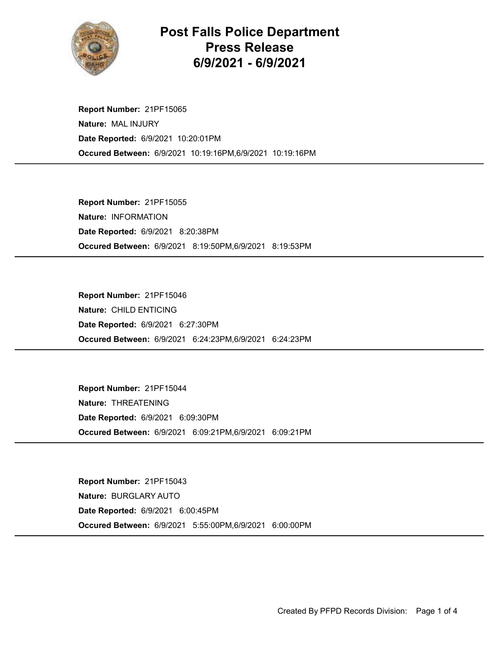

## Post Falls Police Department Press Release 6/9/2021 - 6/9/2021

Occured Between: 6/9/2021 10:19:16PM,6/9/2021 10:19:16PM Report Number: 21PF15065 Nature: MAL INJURY Date Reported: 6/9/2021 10:20:01PM

Occured Between: 6/9/2021 8:19:50PM,6/9/2021 8:19:53PM Report Number: 21PF15055 Nature: INFORMATION Date Reported: 6/9/2021 8:20:38PM

Occured Between: 6/9/2021 6:24:23PM,6/9/2021 6:24:23PM Report Number: 21PF15046 Nature: CHILD ENTICING Date Reported: 6/9/2021 6:27:30PM

Occured Between: 6/9/2021 6:09:21PM,6/9/2021 6:09:21PM Report Number: 21PF15044 Nature: THREATENING Date Reported: 6/9/2021 6:09:30PM

Occured Between: 6/9/2021 5:55:00PM,6/9/2021 6:00:00PM Report Number: 21PF15043 Nature: BURGLARY AUTO Date Reported: 6/9/2021 6:00:45PM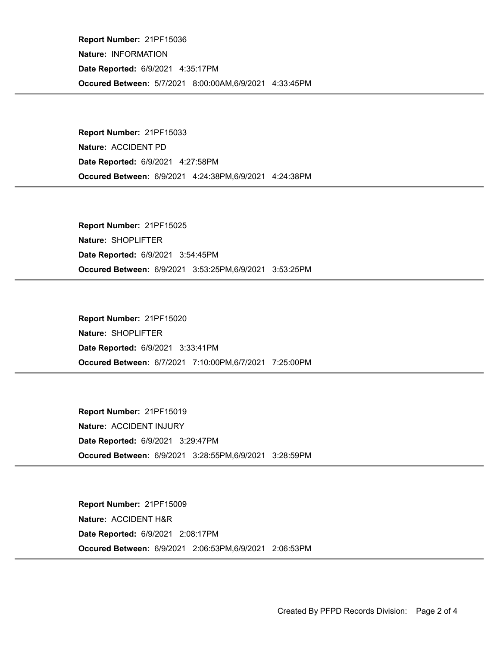Occured Between: 5/7/2021 8:00:00AM,6/9/2021 4:33:45PM Report Number: 21PF15036 Nature: INFORMATION Date Reported: 6/9/2021 4:35:17PM

Occured Between: 6/9/2021 4:24:38PM,6/9/2021 4:24:38PM Report Number: 21PF15033 Nature: ACCIDENT PD Date Reported: 6/9/2021 4:27:58PM

Occured Between: 6/9/2021 3:53:25PM,6/9/2021 3:53:25PM Report Number: 21PF15025 Nature: SHOPLIFTER Date Reported: 6/9/2021 3:54:45PM

Occured Between: 6/7/2021 7:10:00PM,6/7/2021 7:25:00PM Report Number: 21PF15020 Nature: SHOPLIFTER Date Reported: 6/9/2021 3:33:41PM

Occured Between: 6/9/2021 3:28:55PM,6/9/2021 3:28:59PM Report Number: 21PF15019 Nature: ACCIDENT INJURY Date Reported: 6/9/2021 3:29:47PM

Occured Between: 6/9/2021 2:06:53PM,6/9/2021 2:06:53PM Report Number: 21PF15009 Nature: ACCIDENT H&R Date Reported: 6/9/2021 2:08:17PM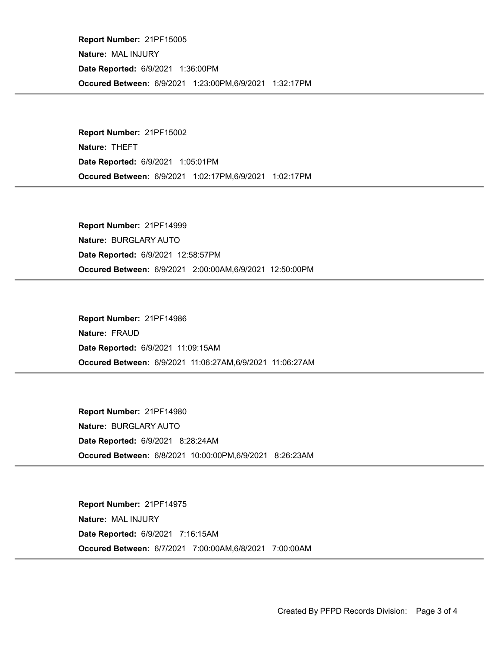Occured Between: 6/9/2021 1:23:00PM,6/9/2021 1:32:17PM Report Number: 21PF15005 Nature: MAL INJURY Date Reported: 6/9/2021 1:36:00PM

Occured Between: 6/9/2021 1:02:17PM,6/9/2021 1:02:17PM Report Number: 21PF15002 Nature: THEFT Date Reported: 6/9/2021 1:05:01PM

Occured Between: 6/9/2021 2:00:00AM,6/9/2021 12:50:00PM Report Number: 21PF14999 Nature: BURGLARY AUTO Date Reported: 6/9/2021 12:58:57PM

Occured Between: 6/9/2021 11:06:27AM,6/9/2021 11:06:27AM Report Number: 21PF14986 Nature: FRAUD Date Reported: 6/9/2021 11:09:15AM

Occured Between: 6/8/2021 10:00:00PM,6/9/2021 8:26:23AM Report Number: 21PF14980 Nature: BURGLARY AUTO Date Reported: 6/9/2021 8:28:24AM

Occured Between: 6/7/2021 7:00:00AM,6/8/2021 7:00:00AM Report Number: 21PF14975 Nature: MAL INJURY Date Reported: 6/9/2021 7:16:15AM